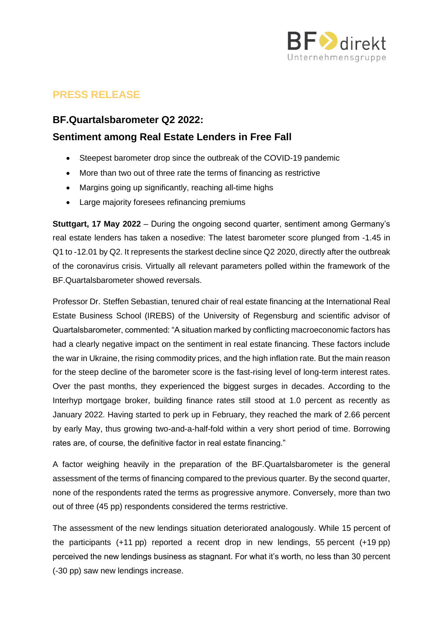

# **PRESS RELEASE**

### **BF.Quartalsbarometer Q2 2022:**

## **Sentiment among Real Estate Lenders in Free Fall**

- Steepest barometer drop since the outbreak of the COVID-19 pandemic
- More than two out of three rate the terms of financing as restrictive
- Margins going up significantly, reaching all-time highs
- Large majority foresees refinancing premiums

**Stuttgart, 17 May 2022** – During the ongoing second quarter, sentiment among Germany's real estate lenders has taken a nosedive: The latest barometer score plunged from -1.45 in Q1 to -12.01 by Q2. It represents the starkest decline since Q2 2020, directly after the outbreak of the coronavirus crisis. Virtually all relevant parameters polled within the framework of the BF.Quartalsbarometer showed reversals.

Professor Dr. Steffen Sebastian, tenured chair of real estate financing at the International Real Estate Business School (IREBS) of the University of Regensburg and scientific advisor of Quartalsbarometer, commented: "A situation marked by conflicting macroeconomic factors has had a clearly negative impact on the sentiment in real estate financing. These factors include the war in Ukraine, the rising commodity prices, and the high inflation rate. But the main reason for the steep decline of the barometer score is the fast-rising level of long-term interest rates. Over the past months, they experienced the biggest surges in decades. According to the Interhyp mortgage broker, building finance rates still stood at 1.0 percent as recently as January 2022. Having started to perk up in February, they reached the mark of 2.66 percent by early May, thus growing two-and-a-half-fold within a very short period of time. Borrowing rates are, of course, the definitive factor in real estate financing."

A factor weighing heavily in the preparation of the BF.Quartalsbarometer is the general assessment of the terms of financing compared to the previous quarter. By the second quarter, none of the respondents rated the terms as progressive anymore. Conversely, more than two out of three (45 pp) respondents considered the terms restrictive.

The assessment of the new lendings situation deteriorated analogously. While 15 percent of the participants (+11 pp) reported a recent drop in new lendings, 55 percent (+19 pp) perceived the new lendings business as stagnant. For what it's worth, no less than 30 percent (-30 pp) saw new lendings increase.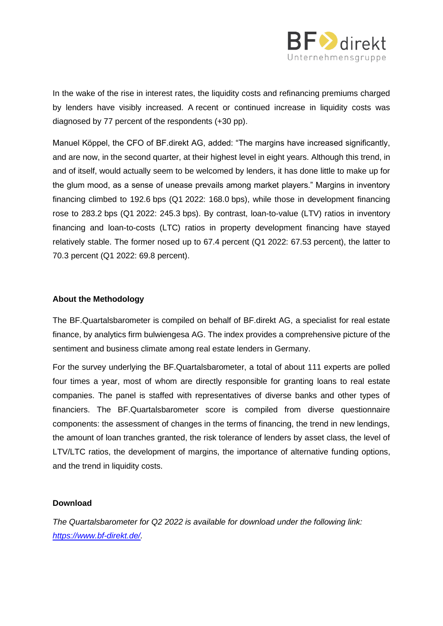

In the wake of the rise in interest rates, the liquidity costs and refinancing premiums charged by lenders have visibly increased. A recent or continued increase in liquidity costs was diagnosed by 77 percent of the respondents (+30 pp).

Manuel Köppel, the CFO of BF.direkt AG, added: "The margins have increased significantly, and are now, in the second quarter, at their highest level in eight years. Although this trend, in and of itself, would actually seem to be welcomed by lenders, it has done little to make up for the glum mood, as a sense of unease prevails among market players." Margins in inventory financing climbed to 192.6 bps (Q1 2022: 168.0 bps), while those in development financing rose to 283.2 bps (Q1 2022: 245.3 bps). By contrast, loan-to-value (LTV) ratios in inventory financing and loan-to-costs (LTC) ratios in property development financing have stayed relatively stable. The former nosed up to 67.4 percent (Q1 2022: 67.53 percent), the latter to 70.3 percent (Q1 2022: 69.8 percent).

#### **About the Methodology**

The BF.Quartalsbarometer is compiled on behalf of BF.direkt AG, a specialist for real estate finance, by analytics firm bulwiengesa AG. The index provides a comprehensive picture of the sentiment and business climate among real estate lenders in Germany.

For the survey underlying the BF.Quartalsbarometer, a total of about 111 experts are polled four times a year, most of whom are directly responsible for granting loans to real estate companies. The panel is staffed with representatives of diverse banks and other types of financiers. The BF.Quartalsbarometer score is compiled from diverse questionnaire components: the assessment of changes in the terms of financing, the trend in new lendings, the amount of loan tranches granted, the risk tolerance of lenders by asset class, the level of LTV/LTC ratios, the development of margins, the importance of alternative funding options, and the trend in liquidity costs.

#### **Download**

*The Quartalsbarometer for Q2 2022 is available for download under the following link: [https://www.bf-direkt.de/.](https://www.bf-direkt.de/)*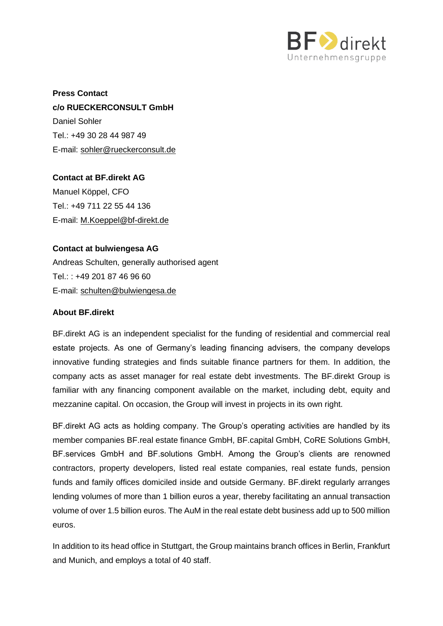

**Press Contact c/o RUECKERCONSULT GmbH** Daniel Sohler Tel.: +49 30 28 44 987 49 E-mail: sohler@rueckerconsult.de

**Contact at BF.direkt AG** Manuel Köppel, CFO Tel.: +49 711 22 55 44 136 E-mail: [M.Koeppel@bf-direkt.de](mailto:M.Koeppel@bf-direkt.de)

#### **Contact at bulwiengesa AG**

Andreas Schulten, generally authorised agent Tel.: : +49 201 87 46 96 60 E-mail: [schulten@bulwiengesa.de](mailto:schulten@bulwiengesa.de)

#### **About BF.direkt**

BF.direkt AG is an independent specialist for the funding of residential and commercial real estate projects. As one of Germany's leading financing advisers, the company develops innovative funding strategies and finds suitable finance partners for them. In addition, the company acts as asset manager for real estate debt investments. The BF.direkt Group is familiar with any financing component available on the market, including debt, equity and mezzanine capital. On occasion, the Group will invest in projects in its own right.

BF.direkt AG acts as holding company. The Group's operating activities are handled by its member companies BF.real estate finance GmbH, BF.capital GmbH, CoRE Solutions GmbH, BF.services GmbH and BF.solutions GmbH. Among the Group's clients are renowned contractors, property developers, listed real estate companies, real estate funds, pension funds and family offices domiciled inside and outside Germany. BF.direkt regularly arranges lending volumes of more than 1 billion euros a year, thereby facilitating an annual transaction volume of over 1.5 billion euros. The AuM in the real estate debt business add up to 500 million euros.

In addition to its head office in Stuttgart, the Group maintains branch offices in Berlin, Frankfurt and Munich, and employs a total of 40 staff.